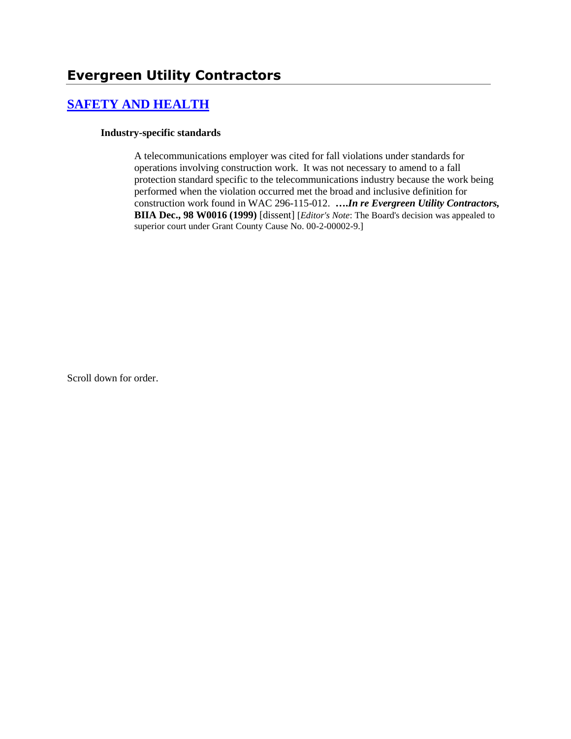# **[SAFETY AND HEALTH](http://www.biia.wa.gov/SDSubjectIndex.html#SAFETY_AND_HEALTH)**

#### **Industry-specific standards**

A telecommunications employer was cited for fall violations under standards for operations involving construction work. It was not necessary to amend to a fall protection standard specific to the telecommunications industry because the work being performed when the violation occurred met the broad and inclusive definition for construction work found in WAC 296-115-012. **….***In re Evergreen Utility Contractors,* **BIIA Dec., 98 W0016 (1999)** [dissent] [*Editor's Note*: The Board's decision was appealed to superior court under Grant County Cause No. 00-2-00002-9.]

Scroll down for order.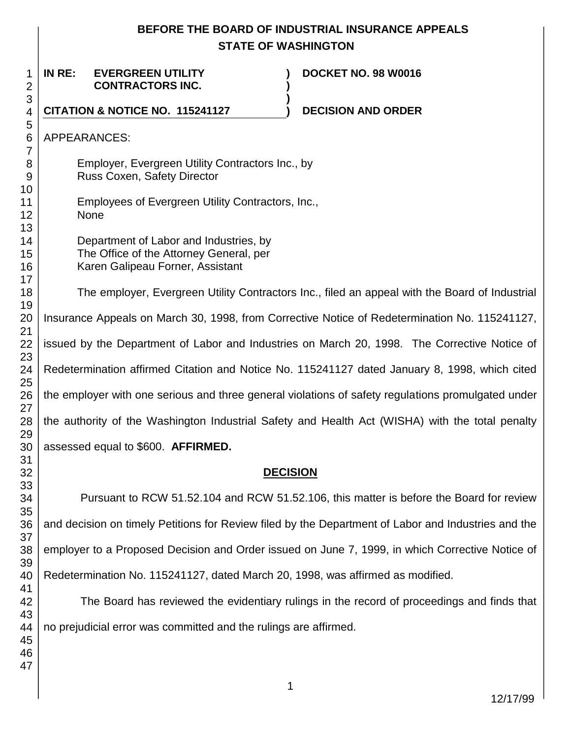# **BEFORE THE BOARD OF INDUSTRIAL INSURANCE APPEALS STATE OF WASHINGTON**

**) )**

**)**

**IN RE: EVERGREEN UTILITY CONTRACTORS INC.**

**DOCKET NO. 98 W0016**

**CITATION & NOTICE NO. 115241127 ) DECISION AND ORDER** 

APPEARANCES:

Employer, Evergreen Utility Contractors Inc., by Russ Coxen, Safety Director

Employees of Evergreen Utility Contractors, Inc., None

Department of Labor and Industries, by The Office of the Attorney General, per Karen Galipeau Forner, Assistant

The employer, Evergreen Utility Contractors Inc., filed an appeal with the Board of Industrial Insurance Appeals on March 30, 1998, from Corrective Notice of Redetermination No. 115241127, issued by the Department of Labor and Industries on March 20, 1998. The Corrective Notice of Redetermination affirmed Citation and Notice No. 115241127 dated January 8, 1998, which cited the employer with one serious and three general violations of safety regulations promulgated under the authority of the Washington Industrial Safety and Health Act (WISHA) with the total penalty assessed equal to \$600. **AFFIRMED.**

## **DECISION**

Pursuant to RCW 51.52.104 and RCW 51.52.106, this matter is before the Board for review and decision on timely Petitions for Review filed by the Department of Labor and Industries and the employer to a Proposed Decision and Order issued on June 7, 1999, in which Corrective Notice of Redetermination No. 115241127, dated March 20, 1998, was affirmed as modified.

The Board has reviewed the evidentiary rulings in the record of proceedings and finds that no prejudicial error was committed and the rulings are affirmed.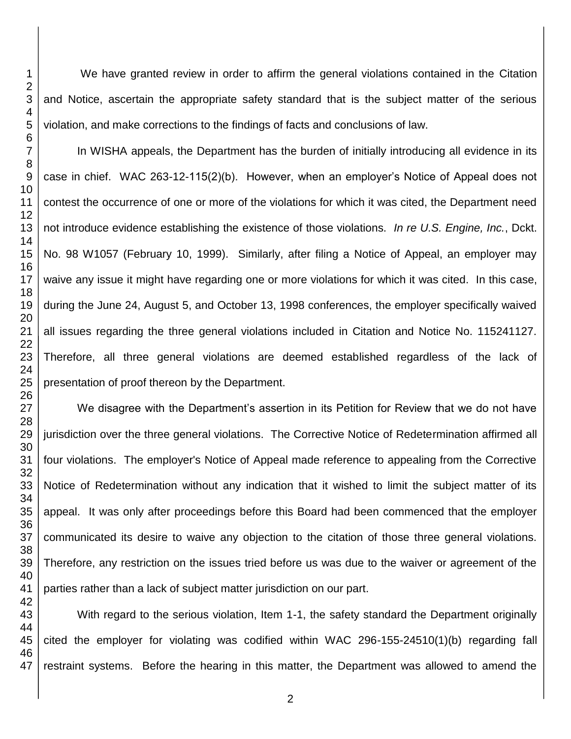We have granted review in order to affirm the general violations contained in the Citation and Notice, ascertain the appropriate safety standard that is the subject matter of the serious violation, and make corrections to the findings of facts and conclusions of law.

In WISHA appeals, the Department has the burden of initially introducing all evidence in its case in chief. WAC 263-12-115(2)(b). However, when an employer's Notice of Appeal does not contest the occurrence of one or more of the violations for which it was cited, the Department need not introduce evidence establishing the existence of those violations. *In re U.S. Engine, Inc.*, Dckt. No. 98 W1057 (February 10, 1999). Similarly, after filing a Notice of Appeal, an employer may waive any issue it might have regarding one or more violations for which it was cited. In this case, during the June 24, August 5, and October 13, 1998 conferences, the employer specifically waived all issues regarding the three general violations included in Citation and Notice No. 115241127. Therefore, all three general violations are deemed established regardless of the lack of presentation of proof thereon by the Department.

We disagree with the Department's assertion in its Petition for Review that we do not have jurisdiction over the three general violations. The Corrective Notice of Redetermination affirmed all four violations. The employer's Notice of Appeal made reference to appealing from the Corrective Notice of Redetermination without any indication that it wished to limit the subject matter of its appeal. It was only after proceedings before this Board had been commenced that the employer communicated its desire to waive any objection to the citation of those three general violations. Therefore, any restriction on the issues tried before us was due to the waiver or agreement of the parties rather than a lack of subject matter jurisdiction on our part.

 With regard to the serious violation, Item 1-1, the safety standard the Department originally cited the employer for violating was codified within WAC 296-155-24510(1)(b) regarding fall restraint systems. Before the hearing in this matter, the Department was allowed to amend the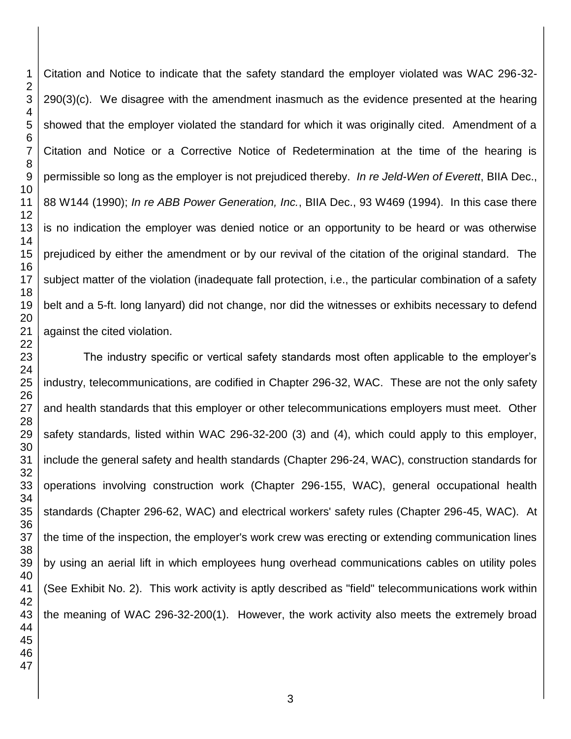Citation and Notice to indicate that the safety standard the employer violated was WAC 296-32- 290(3)(c). We disagree with the amendment inasmuch as the evidence presented at the hearing showed that the employer violated the standard for which it was originally cited. Amendment of a Citation and Notice or a Corrective Notice of Redetermination at the time of the hearing is permissible so long as the employer is not prejudiced thereby. *In re Jeld-Wen of Everett*, BIIA Dec., 88 W144 (1990); *In re ABB Power Generation, Inc.*, BIIA Dec., 93 W469 (1994). In this case there is no indication the employer was denied notice or an opportunity to be heard or was otherwise prejudiced by either the amendment or by our revival of the citation of the original standard. The subject matter of the violation (inadequate fall protection, i.e., the particular combination of a safety belt and a 5-ft. long lanyard) did not change, nor did the witnesses or exhibits necessary to defend against the cited violation.

 The industry specific or vertical safety standards most often applicable to the employer's industry, telecommunications, are codified in Chapter 296-32, WAC. These are not the only safety and health standards that this employer or other telecommunications employers must meet. Other safety standards, listed within WAC 296-32-200 (3) and (4), which could apply to this employer, include the general safety and health standards (Chapter 296-24, WAC), construction standards for operations involving construction work (Chapter 296-155, WAC), general occupational health standards (Chapter 296-62, WAC) and electrical workers' safety rules (Chapter 296-45, WAC). At the time of the inspection, the employer's work crew was erecting or extending communication lines by using an aerial lift in which employees hung overhead communications cables on utility poles (See Exhibit No. 2). This work activity is aptly described as "field" telecommunications work within the meaning of WAC 296-32-200(1). However, the work activity also meets the extremely broad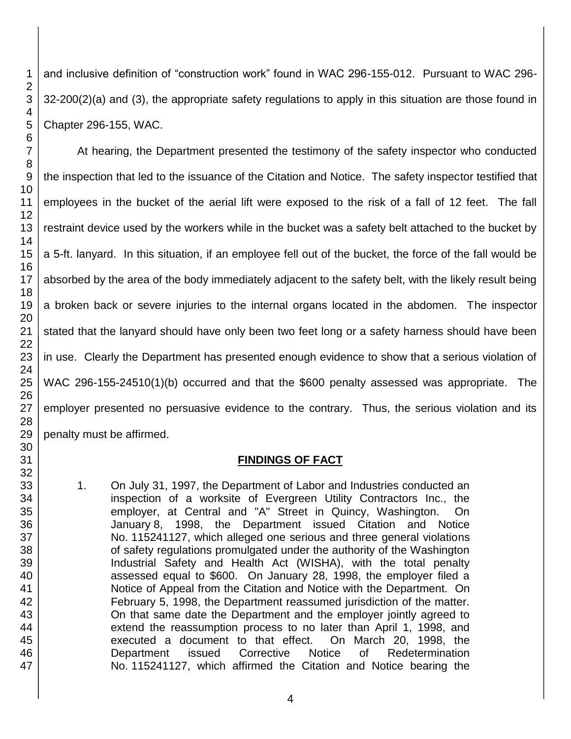and inclusive definition of "construction work" found in WAC 296-155-012. Pursuant to WAC 296- 32-200(2)(a) and (3), the appropriate safety regulations to apply in this situation are those found in Chapter 296-155, WAC.

At hearing, the Department presented the testimony of the safety inspector who conducted the inspection that led to the issuance of the Citation and Notice. The safety inspector testified that employees in the bucket of the aerial lift were exposed to the risk of a fall of 12 feet. The fall restraint device used by the workers while in the bucket was a safety belt attached to the bucket by a 5-ft. lanyard. In this situation, if an employee fell out of the bucket, the force of the fall would be absorbed by the area of the body immediately adjacent to the safety belt, with the likely result being a broken back or severe injuries to the internal organs located in the abdomen. The inspector stated that the lanyard should have only been two feet long or a safety harness should have been in use. Clearly the Department has presented enough evidence to show that a serious violation of WAC 296-155-24510(1)(b) occurred and that the \$600 penalty assessed was appropriate. The employer presented no persuasive evidence to the contrary. Thus, the serious violation and its penalty must be affirmed.

## **FINDINGS OF FACT**

1. On July 31, 1997, the Department of Labor and Industries conducted an inspection of a worksite of Evergreen Utility Contractors Inc., the employer, at Central and "A" Street in Quincy, Washington. On January 8, 1998, the Department issued Citation and Notice No. 115241127, which alleged one serious and three general violations of safety regulations promulgated under the authority of the Washington Industrial Safety and Health Act (WISHA), with the total penalty assessed equal to \$600. On January 28, 1998, the employer filed a Notice of Appeal from the Citation and Notice with the Department. On February 5, 1998, the Department reassumed jurisdiction of the matter. On that same date the Department and the employer jointly agreed to extend the reassumption process to no later than April 1, 1998, and executed a document to that effect. On March 20, 1998, the Department issued Corrective Notice of Redetermination No. 115241127, which affirmed the Citation and Notice bearing the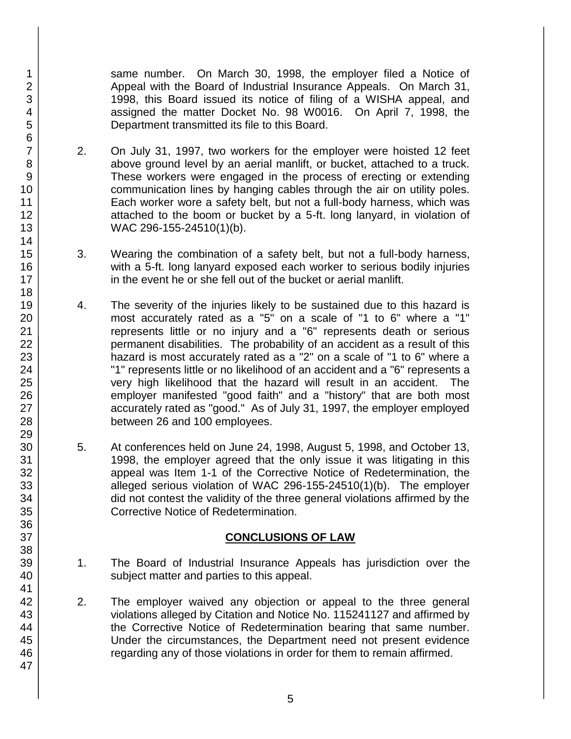same number. On March 30, 1998, the employer filed a Notice of Appeal with the Board of Industrial Insurance Appeals. On March 31, 1998, this Board issued its notice of filing of a WISHA appeal, and assigned the matter Docket No. 98 W0016. On April 7, 1998, the Department transmitted its file to this Board.

- 2. On July 31, 1997, two workers for the employer were hoisted 12 feet above ground level by an aerial manlift, or bucket, attached to a truck. These workers were engaged in the process of erecting or extending communication lines by hanging cables through the air on utility poles. Each worker wore a safety belt, but not a full-body harness, which was attached to the boom or bucket by a 5-ft. long lanyard, in violation of WAC 296-155-24510(1)(b).
- 3. Wearing the combination of a safety belt, but not a full-body harness, with a 5-ft. long lanyard exposed each worker to serious bodily injuries in the event he or she fell out of the bucket or aerial manlift.
- 4. The severity of the injuries likely to be sustained due to this hazard is most accurately rated as a "5" on a scale of "1 to 6" where a "1" represents little or no injury and a "6" represents death or serious permanent disabilities. The probability of an accident as a result of this hazard is most accurately rated as a "2" on a scale of "1 to 6" where a "1" represents little or no likelihood of an accident and a "6" represents a very high likelihood that the hazard will result in an accident. The employer manifested "good faith" and a "history" that are both most accurately rated as "good." As of July 31, 1997, the employer employed between 26 and 100 employees.
- 5. At conferences held on June 24, 1998, August 5, 1998, and October 13, 1998, the employer agreed that the only issue it was litigating in this appeal was Item 1-1 of the Corrective Notice of Redetermination, the alleged serious violation of WAC 296-155-24510(1)(b). The employer did not contest the validity of the three general violations affirmed by the Corrective Notice of Redetermination.

## **CONCLUSIONS OF LAW**

- 1. The Board of Industrial Insurance Appeals has jurisdiction over the subject matter and parties to this appeal.
- 2. The employer waived any objection or appeal to the three general violations alleged by Citation and Notice No. 115241127 and affirmed by the Corrective Notice of Redetermination bearing that same number. Under the circumstances, the Department need not present evidence regarding any of those violations in order for them to remain affirmed.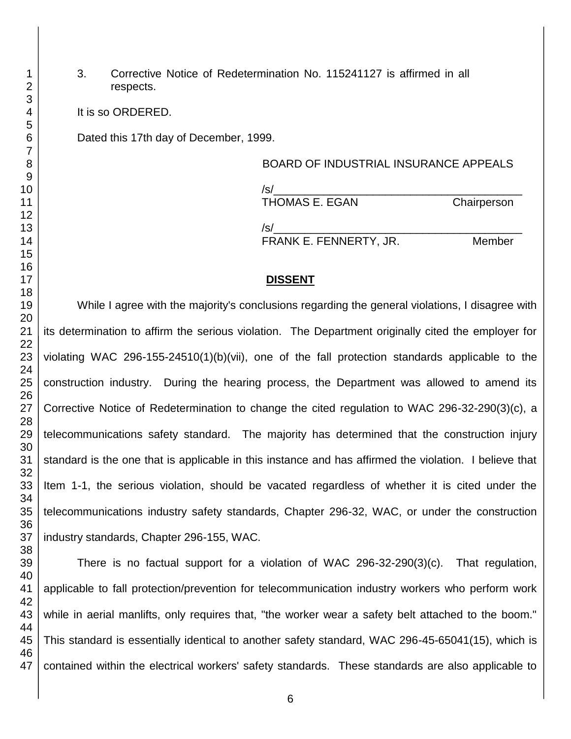3. Corrective Notice of Redetermination No. 115241127 is affirmed in all respects.

It is so ORDERED.

Dated this 17th day of December, 1999.

BOARD OF INDUSTRIAL INSURANCE APPEALS /s/\_\_\_\_\_\_\_\_\_\_\_\_\_\_\_\_\_\_\_\_\_\_\_\_\_\_\_\_\_\_\_\_\_\_\_\_\_\_\_\_ THOMAS E. EGAN Chairperson /s/\_\_\_\_\_\_\_\_\_\_\_\_\_\_\_\_\_\_\_\_\_\_\_\_\_\_\_\_\_\_\_\_\_\_\_\_\_\_\_\_ FRANK E. FENNERTY, JR. Member

#### **DISSENT**

While I agree with the majority's conclusions regarding the general violations, I disagree with its determination to affirm the serious violation. The Department originally cited the employer for violating WAC 296-155-24510(1)(b)(vii), one of the fall protection standards applicable to the construction industry. During the hearing process, the Department was allowed to amend its Corrective Notice of Redetermination to change the cited regulation to WAC 296-32-290(3)(c), a telecommunications safety standard. The majority has determined that the construction injury standard is the one that is applicable in this instance and has affirmed the violation. I believe that Item 1-1, the serious violation, should be vacated regardless of whether it is cited under the telecommunications industry safety standards, Chapter 296-32, WAC, or under the construction industry standards, Chapter 296-155, WAC.

There is no factual support for a violation of WAC 296-32-290(3)(c). That regulation, applicable to fall protection/prevention for telecommunication industry workers who perform work while in aerial manlifts, only requires that, "the worker wear a safety belt attached to the boom." This standard is essentially identical to another safety standard, WAC 296-45-65041(15), which is contained within the electrical workers' safety standards. These standards are also applicable to